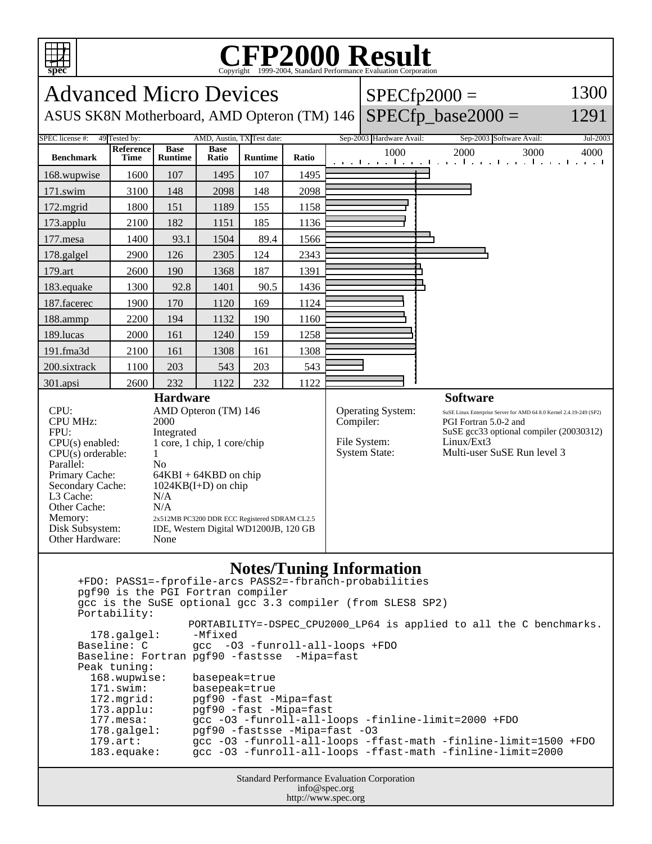